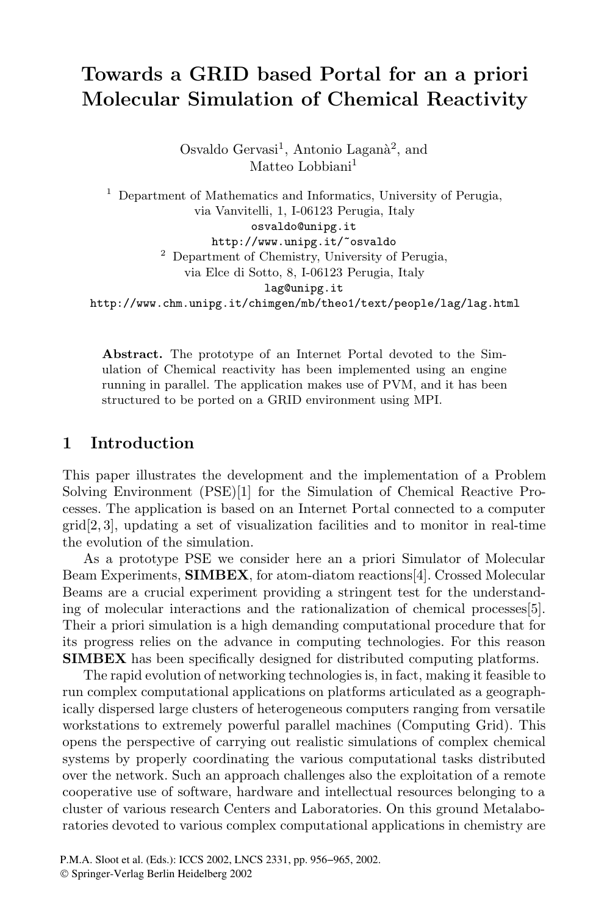# **Towards a GRID based Portal for an a priori Molecular Simulation of Chemical Reactivity**

Osvaldo Gervasi<sup>1</sup>, Antonio Laganà<sup>2</sup>, and Matteo Lobbiani<sup>1</sup>

<sup>1</sup> Department of Mathematics and Informatics, University of Perugia, via Vanvitelli, 1, I-06123 Perugia, Italy osvaldo@unipg.it http://www.unipg.it/~osvaldo <sup>2</sup> Department of Chemistry, University of Perugia, via Elce di Sotto, 8, I-06123 Perugia, Italy lag@unipg.it http://www.chm.unipg.it/chimgen/mb/theo1/text/people/lag/lag.html

**Abstract.** The prototype of an Internet Portal devoted to the Simulation of Chemical reactivity has been implemented using an engine running in parallel. The application makes use of PVM, and it has been structured to be ported on a GRID environment using MPI.

## **1 Introduction**

This paper illustrates the development and the implementation of a Problem Solving Environment (PSE)[1] for the Simulation of Chemical Reactive Processes. The application is based on an Internet Portal connected to a computer grid[2, 3], updating a set of visualization facilities and to monitor in real-time the evolution of the simulation.

As a prototype PSE we consider here an a priori Simulator of Molecular Beam Experiments, **SIMBEX**, for atom-diatom reactions[4]. Crossed Molecular Beams are a crucial experiment providing a stringent test for the understanding of molecular interactions and the rationalization of chemical processes[5]. Their a priori simulation is a high demanding computational procedure that for its progress relies on the advance in computing technologies. For this reason **SIMBEX** has been specifically designed for distributed computing platforms.

The rapid evolution of networking technologies is, in fact, making it feasible to run complex computational applications on platforms articulated as a geographically dispersed large clusters of heterogeneous computers ranging from versatile workstations to extremely powerful parallel machines (Computing Grid). This opens the perspective of carrying out realistic simulations of complex chemical systems by properly coordinating the various computational tasks distributed over the network. Such an approach challenges also the exploitation of a remote cooperative use of software, hardware and intellectual resources belonging to a cluster of various research Centers and Laboratories. On this ground Metalaboratories devoted to various complex computational applications in chemistry are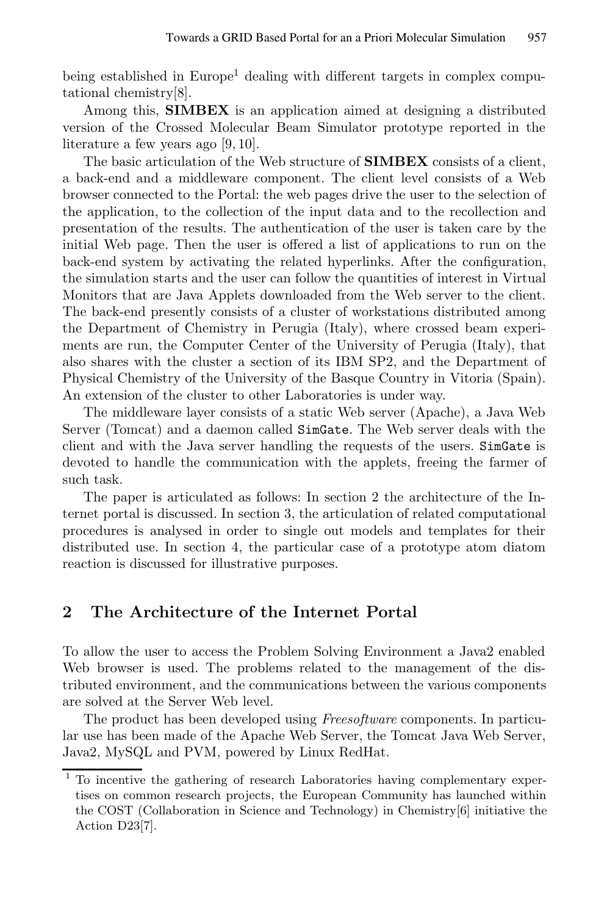being established in Europe<sup>1</sup> dealing with different targets in complex computational chemistry[8].

Among this, **SIMBEX** is an application aimed at designing a distributed version of the Crossed Molecular Beam Simulator prototype reported in the literature a few years ago [9, 10].

The basic articulation of the Web structure of **SIMBEX** consists of a client, a back-end and a middleware component. The client level consists of a Web browser connected to the Portal: the web pages drive the user to the selection of the application, to the collection of the input data and to the recollection and presentation of the results. The authentication of the user is taken care by the initial Web page. Then the user is offered a list of applications to run on the back-end system by activating the related hyperlinks. After the configuration, the simulation starts and the user can follow the quantities of interest in Virtual Monitors that are Java Applets downloaded from the Web server to the client. The back-end presently consists of a cluster of workstations distributed among the Department of Chemistry in Perugia (Italy), where crossed beam experiments are run, the Computer Center of the University of Perugia (Italy), that also shares with the cluster a section of its IBM SP2, and the Department of Physical Chemistry of the University of the Basque Country in Vitoria (Spain). An extension of the cluster to other Laboratories is under way.

The middleware layer consists of a static Web server (Apache), a Java Web Server (Tomcat) and a daemon called SimGate. The Web server deals with the client and with the Java server handling the requests of the users. SimGate is devoted to handle the communication with the applets, freeing the farmer of such task.

The paper is articulated as follows: In section 2 the architecture of the Internet portal is discussed. In section 3, the articulation of related computational procedures is analysed in order to single out models and templates for their distributed use. In section 4, the particular case of a prototype atom diatom reaction is discussed for illustrative purposes.

# **2 The Architecture of the Internet Portal**

To allow the user to access the Problem Solving Environment a Java2 enabled Web browser is used. The problems related to the management of the distributed environment, and the communications between the various components are solved at the Server Web level.

The product has been developed using *Freesoftware* components. In particular use has been made of the Apache Web Server, the Tomcat Java Web Server, Java2, MySQL and PVM, powered by Linux RedHat.

<sup>&</sup>lt;sup>1</sup> To incentive the gathering of research Laboratories having complementary expertises on common research projects, the European Community has launched within the COST (Collaboration in Science and Technology) in Chemistry[6] initiative the Action D23[7].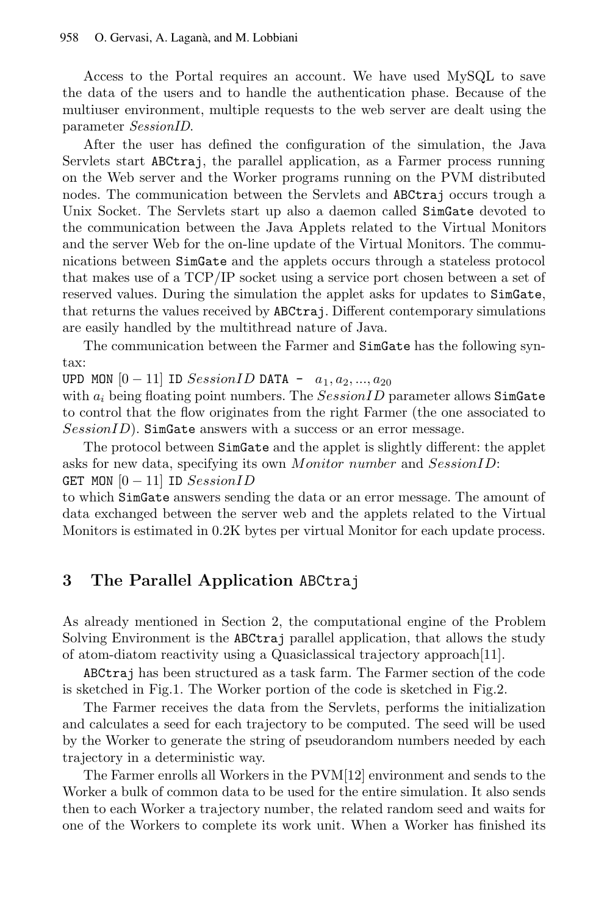Access to the Portal requires an account. We have used MySQL to save the data of the users and to handle the authentication phase. Because of the multiuser environment, multiple requests to the web server are dealt using the parameter *SessionID*.

After the user has defined the configuration of the simulation, the Java Servlets start ABCtraj, the parallel application, as a Farmer process running on the Web server and the Worker programs running on the PVM distributed nodes. The communication between the Servlets and ABCtraj occurs trough a Unix Socket. The Servlets start up also a daemon called SimGate devoted to the communication between the Java Applets related to the Virtual Monitors and the server Web for the on-line update of the Virtual Monitors. The communications between SimGate and the applets occurs through a stateless protocol that makes use of a TCP/IP socket using a service port chosen between a set of reserved values. During the simulation the applet asks for updates to SimGate, that returns the values received by ABCtraj. Different contemporary simulations are easily handled by the multithread nature of Java.

The communication between the Farmer and SimGate has the following syntax:

UPD MON  $[0 - 11]$  ID  $SessionID$  DATA  $a_1, a_2, ..., a_{20}$ 

with *a<sup>i</sup>* being floating point numbers. The *SessionID* parameter allows SimGate to control that the flow originates from the right Farmer (the one associated to *SessionID*). SimGate answers with a success or an error message.

The protocol between SimGate and the applet is slightly different: the applet asks for new data, specifying its own *Monitor number* and *SessionID*: GET MON [0 *−* 11] ID *SessionID*

to which SimGate answers sending the data or an error message. The amount of data exchanged between the server web and the applets related to the Virtual Monitors is estimated in 0.2K bytes per virtual Monitor for each update process.

# **3 The Parallel Application** ABCtraj

As already mentioned in Section 2, the computational engine of the Problem Solving Environment is the ABCtraj parallel application, that allows the study of atom-diatom reactivity using a Quasiclassical trajectory approach[11].

ABCtraj has been structured as a task farm. The Farmer section of the code is sketched in Fig.1. The Worker portion of the code is sketched in Fig.2.

The Farmer receives the data from the Servlets, performs the initialization and calculates a seed for each trajectory to be computed. The seed will be used by the Worker to generate the string of pseudorandom numbers needed by each trajectory in a deterministic way.

The Farmer enrolls all Workers in the PVM[12] environment and sends to the Worker a bulk of common data to be used for the entire simulation. It also sends then to each Worker a trajectory number, the related random seed and waits for one of the Workers to complete its work unit. When a Worker has finished its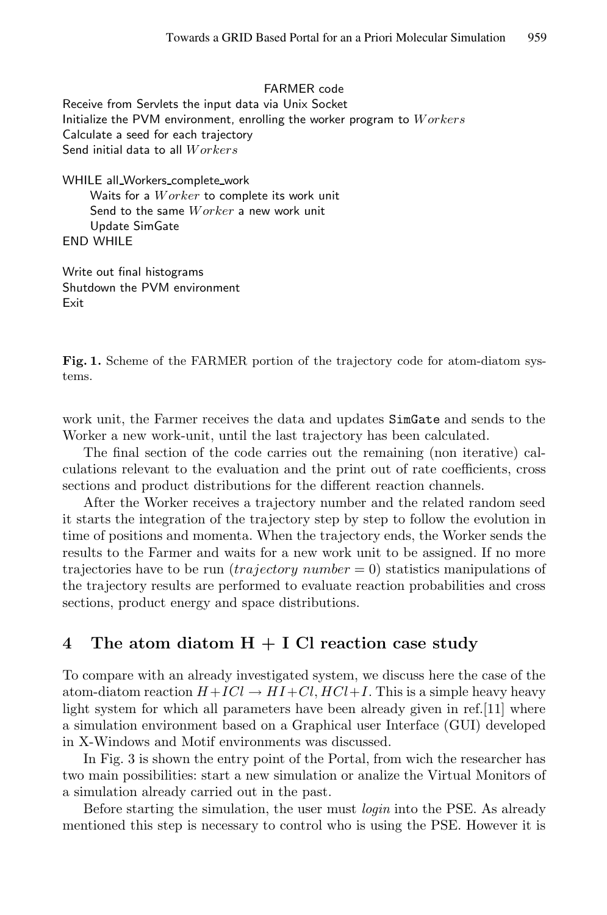FARMER code

Receive from Servlets the input data via Unix Socket Initialize the PVM environment, enrolling the worker program to *Workers* Calculate a seed for each trajectory Send initial data to all *Workers*

WHILE all\_Workers\_complete\_work Waits for a *Worker* to complete its work unit Send to the same *Worker* a new work unit Update SimGate **END WHILE** 

Write out final histograms Shutdown the PVM environment Exit

**Fig. 1.** Scheme of the FARMER portion of the trajectory code for atom-diatom systems.

work unit, the Farmer receives the data and updates SimGate and sends to the Worker a new work-unit, until the last trajectory has been calculated.

The final section of the code carries out the remaining (non iterative) calculations relevant to the evaluation and the print out of rate coefficients, cross sections and product distributions for the different reaction channels.

After the Worker receives a trajectory number and the related random seed it starts the integration of the trajectory step by step to follow the evolution in time of positions and momenta. When the trajectory ends, the Worker sends the results to the Farmer and waits for a new work unit to be assigned. If no more trajectories have to be run (*trajectory number* = 0) statistics manipulations of the trajectory results are performed to evaluate reaction probabilities and cross sections, product energy and space distributions.

#### **4 The atom diatom H + I Cl reaction case study**

To compare with an already investigated system, we discuss here the case of the atom-diatom reaction  $H + ICl \rightarrow HI + Cl$ ,  $HCl + I$ . This is a simple heavy heavy light system for which all parameters have been already given in ref.[11] where a simulation environment based on a Graphical user Interface (GUI) developed in X-Windows and Motif environments was discussed.

In Fig. 3 is shown the entry point of the Portal, from wich the researcher has two main possibilities: start a new simulation or analize the Virtual Monitors of a simulation already carried out in the past.

Before starting the simulation, the user must *login* into the PSE. As already mentioned this step is necessary to control who is using the PSE. However it is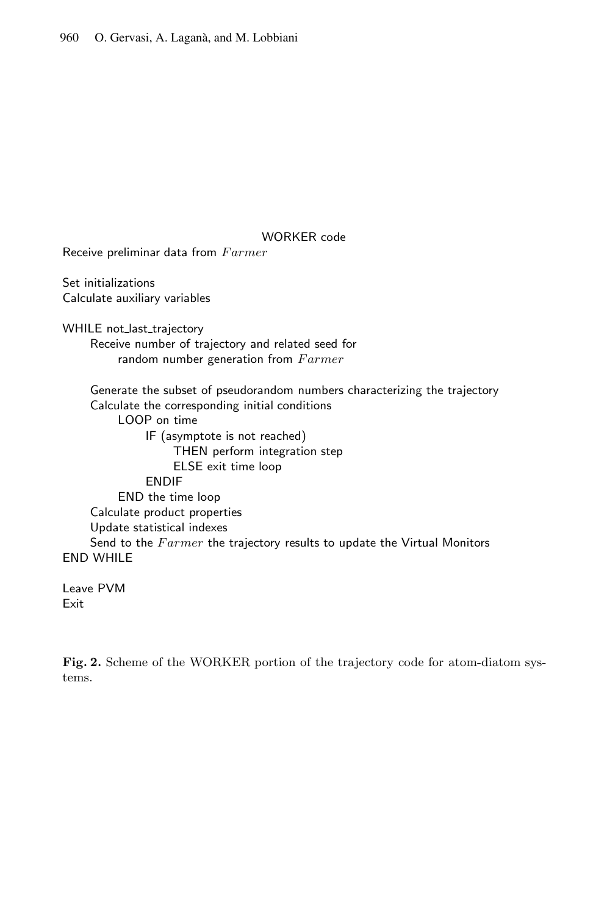WORKER code Receive preliminar data from *Farmer* Set initializations Calculate auxiliary variables WHILE not\_last\_trajectory Receive number of trajectory and related seed for random number generation from *Farmer* Generate the subset of pseudorandom numbers characterizing the trajectory Calculate the corresponding initial conditions LOOP on time IF (asymptote is not reached) THEN perform integration step ELSE exit time loop ENDIF END the time loop Calculate product properties Update statistical indexes Send to the *Farmer* the trajectory results to update the Virtual Monitors END WHILE

Leave PVM Exit

**Fig. 2.** Scheme of the WORKER portion of the trajectory code for atom-diatom systems.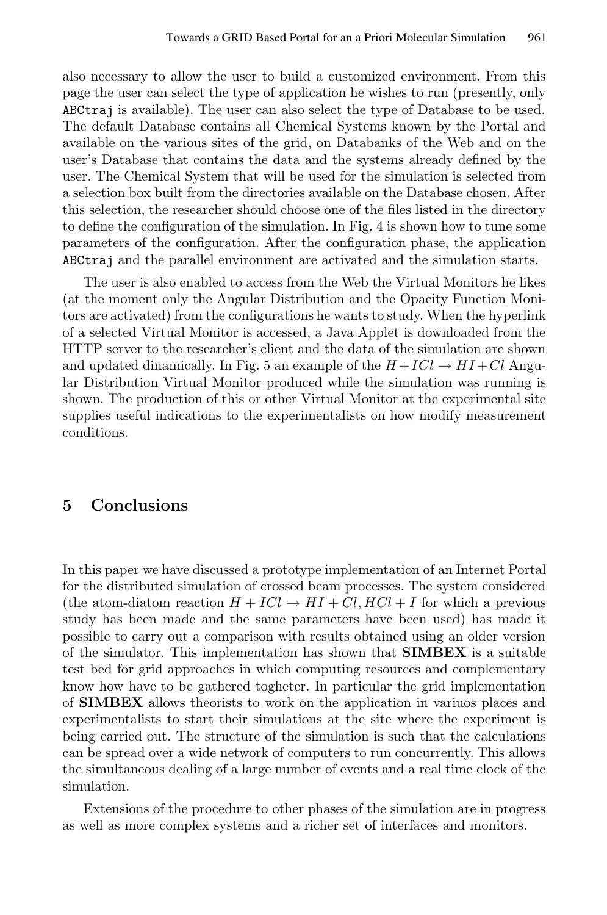also necessary to allow the user to build a customized environment. From this page the user can select the type of application he wishes to run (presently, only ABCtraj is available). The user can also select the type of Database to be used. The default Database contains all Chemical Systems known by the Portal and available on the various sites of the grid, on Databanks of the Web and on the user's Database that contains the data and the systems already defined by the user. The Chemical System that will be used for the simulation is selected from a selection box built from the directories available on the Database chosen. After this selection, the researcher should choose one of the files listed in the directory to define the configuration of the simulation. In Fig. 4 is shown how to tune some parameters of the configuration. After the configuration phase, the application ABCtraj and the parallel environment are activated and the simulation starts.

The user is also enabled to access from the Web the Virtual Monitors he likes (at the moment only the Angular Distribution and the Opacity Function Monitors are activated) from the configurations he wants to study. When the hyperlink of a selected Virtual Monitor is accessed, a Java Applet is downloaded from the HTTP server to the researcher's client and the data of the simulation are shown and updated dinamically. In Fig. 5 an example of the  $H + ICl \rightarrow HI + Cl$  Angular Distribution Virtual Monitor produced while the simulation was running is shown. The production of this or other Virtual Monitor at the experimental site supplies useful indications to the experimentalists on how modify measurement conditions.

## **5 Conclusions**

In this paper we have discussed a prototype implementation of an Internet Portal for the distributed simulation of crossed beam processes. The system considered (the atom-diatom reaction  $H + ICl \rightarrow HI + Cl$ ,  $HCl + I$  for which a previous study has been made and the same parameters have been used) has made it possible to carry out a comparison with results obtained using an older version of the simulator. This implementation has shown that **SIMBEX** is a suitable test bed for grid approaches in which computing resources and complementary know how have to be gathered togheter. In particular the grid implementation of **SIMBEX** allows theorists to work on the application in variuos places and experimentalists to start their simulations at the site where the experiment is being carried out. The structure of the simulation is such that the calculations can be spread over a wide network of computers to run concurrently. This allows the simultaneous dealing of a large number of events and a real time clock of the simulation.

Extensions of the procedure to other phases of the simulation are in progress as well as more complex systems and a richer set of interfaces and monitors.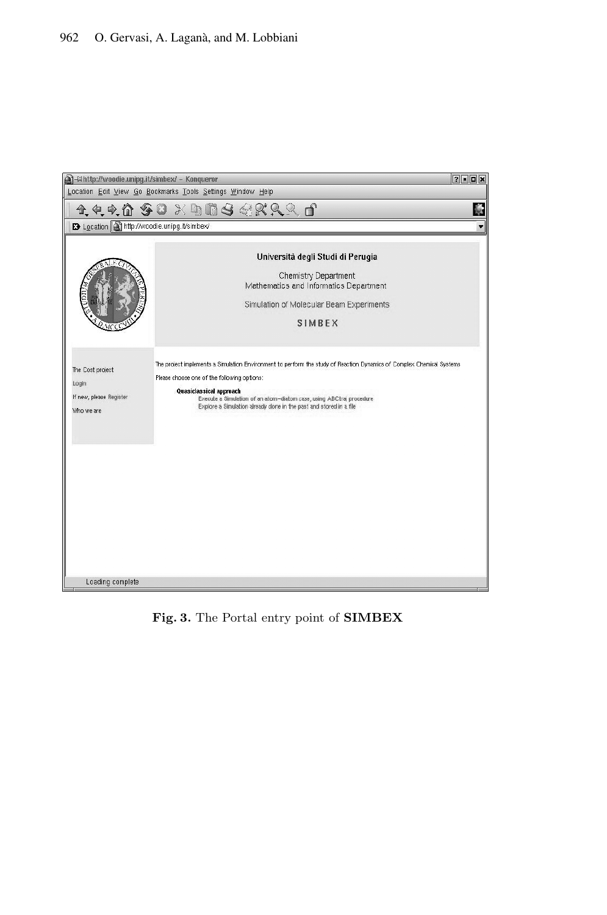

**Fig. 3.** The Portal entry point of **SIMBEX**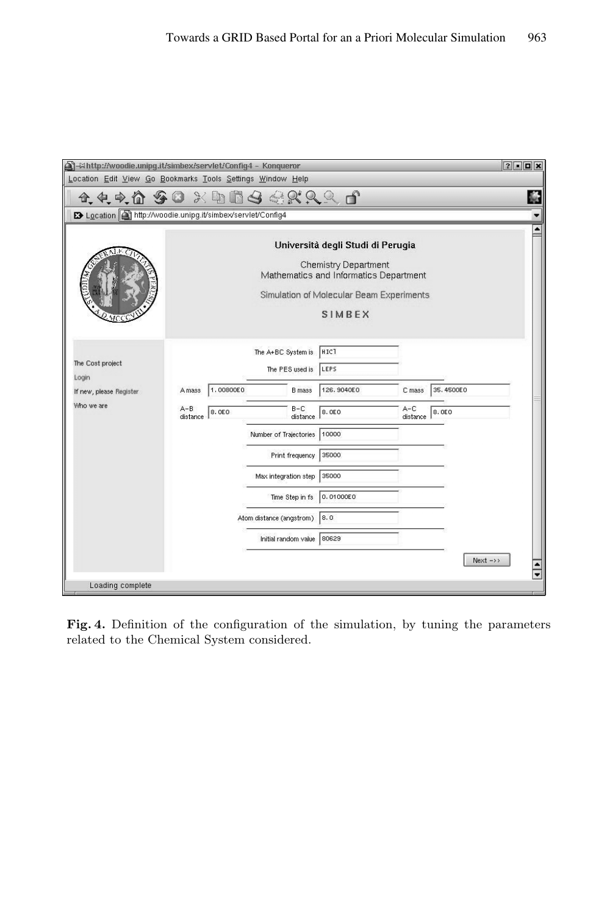| -Ahttp://woodie.unipg.it/simbex/servlet/Config4 - Konqueror        |                                                                                                                                                                  |                                                 |                             |                   |                    | $ 2 $ $\Box$ $\times$ |
|--------------------------------------------------------------------|------------------------------------------------------------------------------------------------------------------------------------------------------------------|-------------------------------------------------|-----------------------------|-------------------|--------------------|-----------------------|
| Location Edit View Go Bookmarks Tools Settings Window Help         |                                                                                                                                                                  |                                                 |                             |                   |                    |                       |
| 4.444 50 X 4 54 4 X 9 9 6                                          |                                                                                                                                                                  |                                                 |                             |                   |                    | 幭                     |
| D Location at http://woodie.unipg.it/simbex/servlet/Config4        |                                                                                                                                                                  |                                                 |                             |                   |                    |                       |
|                                                                    | Università degli Studi di Perugia<br>Chemistry Department<br>Mathematics and Informatics Department<br>Simulation of Molecular Beam Experiments<br><b>SIMBEX</b> |                                                 |                             |                   |                    | ۰                     |
| The Cost project<br>Login<br>If new, please Register<br>Who we are | 1.00800E0<br>A mass<br>$A-B$<br>8.0EO<br>distance                                                                                                                | The A+BC System is<br>The PES used is<br>B mass | HICT<br>LEPS<br>126, 9040E0 | C mass            | 35.4500E0          |                       |
|                                                                    |                                                                                                                                                                  | $B-C$<br>distance                               | 8. OEO                      | $A-C$<br>distance | 8.0EO              |                       |
|                                                                    |                                                                                                                                                                  | Number of Trajectories                          | 10000                       |                   |                    |                       |
|                                                                    |                                                                                                                                                                  | Print frequency 35000                           |                             |                   |                    |                       |
|                                                                    |                                                                                                                                                                  | Max integration step 35000                      |                             |                   |                    |                       |
|                                                                    |                                                                                                                                                                  | Time Step in fs                                 | 0.01000E0                   |                   |                    |                       |
|                                                                    |                                                                                                                                                                  | Atom distance (angstrom) 8.0                    |                             |                   |                    |                       |
|                                                                    |                                                                                                                                                                  | Initial random value 80629                      |                             |                   |                    |                       |
|                                                                    |                                                                                                                                                                  |                                                 |                             |                   | $Next \rightarrow$ | $\frac{1}{\sqrt{2}}$  |
| Loading complete                                                   |                                                                                                                                                                  |                                                 |                             |                   |                    |                       |

**Fig. 4.** Definition of the configuration of the simulation, by tuning the parameters related to the Chemical System considered.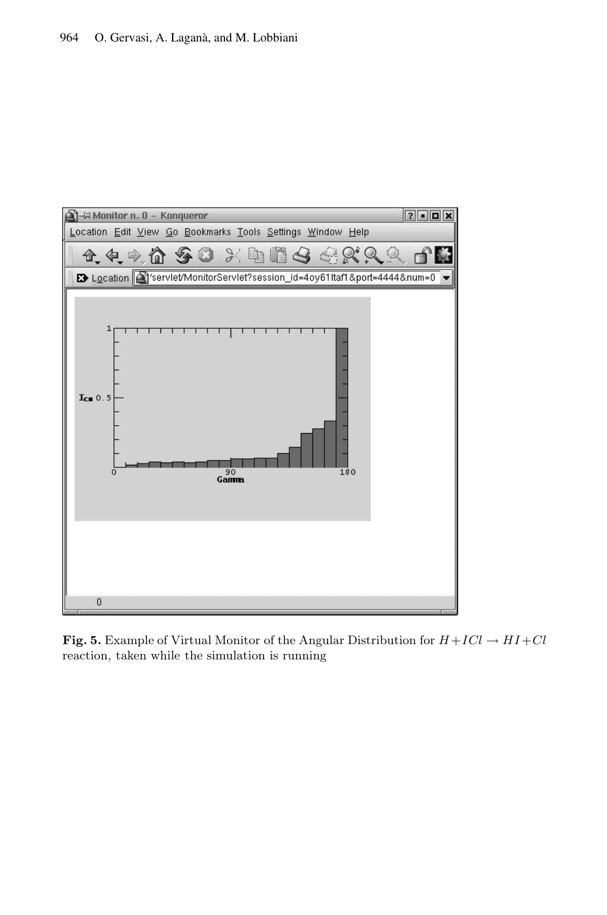

**Fig. 5.** Example of Virtual Monitor of the Angular Distribution for  $H + ICI \rightarrow HI + Cl$ reaction, taken while the simulation is running